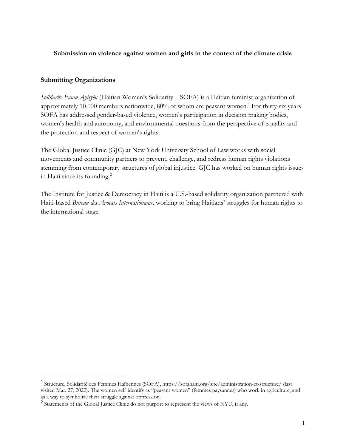**Submission on violence against women and girls in the context of the climate crisis**

### **Submitting Organizations**

*Solidarite Fanm Ayisyèn* (Haitian Women's Solidarity – SOFA) is a Haitian feminist organization of approximately  $10,000$  members nationwide,  $80\%$  of whom are peasant women.<sup>1</sup> For thirty-six years SOFA has addressed gender-based violence, women's participation in decision making bodies, women's health and autonomy, and environmental questions from the perspective of equality and the protection and respect of women's rights.

The Global Justice Clinic (GJC) at New York University School of Law works with social movements and community partners to prevent, challenge, and redress human rights violations stemming from contemporary structures of global injustice. GJC has worked on human rights issues in Haiti since its founding.<sup>2</sup>

The Institute for Justice & Democracy in Haiti is a U.S.-based solidarity organization partnered with Haiti-based *Bureau des Avocats Internationaux,* working to bring Haitians' struggles for human rights to the international stage.

<sup>1</sup> Structure, Solidarité des Femmes Haïtiennes (SOFA), https://sofahaiti.org/site/administration-et-structure/ (last visited Mar. 27, 2022). The women self-identify as "peasant women" (femmes paysannes) who work in agriculture, and as a way to symbolize their struggle against oppression.

<sup>&</sup>lt;sup>2</sup> Statements of the Global Justice Clinic do not purport to represent the views of NYU, if any.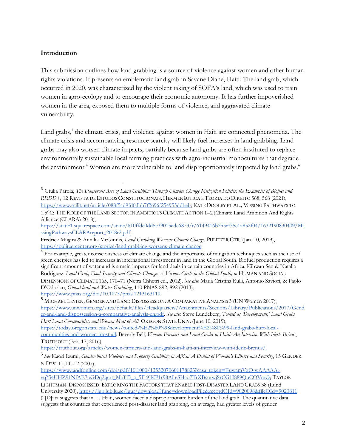## **Introduction**

This submission outlines how land grabbing is a source of violence against women and other human rights violations. It presents an emblematic land grab in Savane Diane, Haiti. The land grab, which occurred in 2020, was characterized by the violent taking of SOFA's land, which was used to train women in agro-ecology and to encourage their economic autonomy. It has further impoverished women in the area, exposed them to multiple forms of violence, and aggravated climate vulnerability.

Land grabs, $3$  the climate crisis, and violence against women in Haiti are connected phenomena. The climate crisis and accompanying resource scarcity will likely fuel increases in land grabbing. Land grabs may also worsen climate impacts, partially because land grabs are often instituted to replace environmentally sustainable local farming practices with agro-industrial monocultures that degrade the environment.<sup>4</sup> Women are more vulnerable to<sup>5</sup> and disproportionately impacted by land grabs.<sup>6</sup>

<sup>5</sup> MICHAEL LEVIEN, GENDER AND LAND DISPOSSESSION:A COMPARATIVE ANALYSIS 3 (UN Women 2017), https://www.unwomen.org/sites/default/files/Headquarters/Attachments/Sections/Library/Publications/2017/Gend er-and-land-dispossession-a-comparative-analysis-en.pdf. *See also* Steve Lundeberg, *Touted as 'Development,' Land Grabs Hurt Local Communities, and Women Most of All*, OREGON STATE UNIV. (June 10, 2019),

https://today.oregonstate.edu/news/touted-%E2%80%98development%E2%80%99-land-grabs-hurt-localcommunities-and-women-most-all; Beverly Bell, *Women Farmers and Land Grabs in Haiti: An Interview With Iderle Brénus*, TRUTHOUT (Feb. 17, 2016),

https://www.tandfonline.com/doi/pdf/10.1080/13552070601178823?casa\_token=JJuwamVxO-wAAAAA:vqYi4UHZ91NfAE7oGDq2qcrt\_MaTf5\_a\_5F-9JKP1r98ALeSHao7TrXBsnrwjSrCG1I889QuCOVmQ; TAYLOR

<sup>3</sup> Giulia Parola, *The Dangerous Rise of Land Grabbing Through Climate Change Mitigation Policies: the Examples of Biofuel and REDD+*, 12 REVISTA DE ESTUDOS CONSTITUCIONAIS, HERMENÊUTICA E TEORIA DO DIREITO 568, 568 (2021), https://www.scilit.net/article/088f5ad9fd0dbb7f2696f254955ddbeb; KATE DOOLEY ET AL., MISSING PATHWAYS TO 1.5°C: THE ROLE OF THE LAND SECTOR IN AMBITIOUS CLIMATE ACTION 1–2 (Climate Land Ambition And Rights

Alliance (CLARA) 2018), https://static1.squarespace.com/static/610ffde0dd5c39015edc6873/t/6149416b255ef35c1a852f04/1632190830409/Mi ssingPathwaysCLARAreport\_2018r2.pdf;

Fredrick Mugira & Annika McGinnis, *Land Grabbing Worsens Climate Change,* PULITZER CTR. (Jan. 10, 2019), https://pulitzercenter.org/stories/land-grabbing-worsens-climate-change.

<sup>&</sup>lt;sup>4</sup> For example, greater consciousness of climate change and the importance of mitigation techniques such as the use of green energies has led to increases in international investment in land in the Global South. Biofuel production requires a significant amount of water and is a main impetus for land deals in certain countries in Africa. Kihwan Seo & Natalia Rodriguez, *Land Grab, Food Security and Climate Change: A Vicious Circle in the Global South, in* HUMAN AND SOCIAL DIMENSIONS OF CLIMATE 165, 170–71 (Netra Chhetri ed., 2012). *See also* Maria Cristina Rulli, Antonio Saviori, & Paolo D'Odorico, *Global land and Water Grabbing*, 110 PNAS 892, 892 (2013), https://www.pnas.org/doi/10.1073/pnas.1213163110.

https://truthout.org/articles/women-farmers-and-land-grabs-in-haiti-an-interview-with-iderle-brenus/.

<sup>6</sup> *See* Kaori Izumi, *Gender-based Violence and Property Grabbing in Africa: A Denial of Women's Liberty and Security*, 15 GENDER & DEV. 11, 11–12 (2007),

LIGHTMAN, DISPOSSESSED: EXPLORING THE FACTORS THAT ENABLE POST-DISASTER LAND GRABS 38 (Lund University 2020), https://lup.lub.lu.se/luur/download?func=downloadFile&recordOId=9020098&fileOId=9020811 ("[D]ata suggests that in … Haiti, women faced a disproportionate burden of the land grab. The quantitative data suggests that countries that experienced post-disaster land grabbing, on average, had greater levels of gender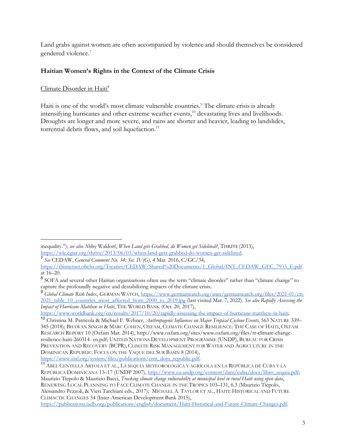Land grabs against women are often accompanied by violence and should themselves be considered gendered violence. 7

# **Haitian Women's Rights in the Context of the Climate Crisis**

# Climate Disorder in Haiti<sup>8</sup>

Haiti is one of the world's most climate vulnerable countries.<sup>9</sup> The climate crisis is already intensifying hurricanes and other extreme weather events,<sup>10</sup> devastating lives and livelihoods. Droughts are longer and more severe, and rains are shorter and heavier, leading to landslides, torrential debris flows, and soil liquefaction. $11$ 

https://www.worldbank.org/en/results/2017/10/20/rapidly-assessing-the-impact-of-hurricane-matthew-in-haiti.

inequality."); *see also* Abby Waldorf, *When Land gets Grabbed, do Women get Sidelined?*, THRIVE (2013), https://wle.cgiar.org/thrive/2013/06/03/when-land-gets-grabbed-do-women-get-sidelined.

<sup>7</sup> *See* CEDAW, *General Comment No. 34: Sec. IV(G)*, 4 Mar. 2016, C/GC/34,

https://tbinternet.ohchr.org/Treaties/CEDAW/Shared%20Documents/1\_Global/INT\_CEDAW\_GEC\_7933\_E.pdf at  $16-20$ .

<sup>&</sup>lt;sup>8</sup> SOFA and several other Haitian organizations often use the term "climate disorder" rather than "climate change" to capture the profoundly negative and destabilizing impacts of the climate crisis.

<sup>9</sup> *Global Climate Risk Index*, GERMAN WATCH, https://www.germanwatch.org/sites/germanwatch.org/files/2021-01/cri-2021\_table\_10\_countries\_most\_affected\_from\_2000\_to\_2019.jpg (last visited Mar. 7, 2022). *See also Rapidly Assessing the Impact of Hurricane Matthew in Haiti*, THE WORLD BANK (Oct. 20, 2017),

<sup>10</sup> Christina M. Patricola & Michael F. Wehner, *Anthropogenic Influences on Major Tropical Cyclone Events*, 563 NATURE 339– 345 (2018); BHAWAN SINGH & MARC COHEN, OXFAM, CLIMATE CHANGE RESILIENCE: THE CASE OF HAITI, OXFAM RESEARCH REPORT 10 (Oxfam Mar. 2014), http://www.oxfam.org/sites/www.oxfam.org/files/rr-climate-changeresilience-haiti-260314- en.pdf; UNITED NATIONS DEVELOPMENT PROGRAMME (UNDP), BUREAU FOR CRISIS PREVENTION AND RECOVERY (BCPR), CLIMATE RISK MANAGEMENT FOR WATER AND AGRICULTURE IN THE DOMINICAN REPUBLIC: FOCUS ON THE YAQUE DEL SUR BASIN 8 (2014), https://www.iisd.org/system/files/publications/crm\_dom\_republic.pdf.

<sup>11</sup> ABEL CENTELLA ARTOLA ET AL., LA SEQUÍA METEOROLÓGICA Y AGRÍCOLA EN LA REPÚBLICA DE CUBA Y LA REPÚBLICA DOMINICANA 13–17 (UNDP 2007), http://www.cu.undp.org/content/dam/cuba/docs/libro\_sequia.pdf; Maurizio Tiepolo & Maurizio Bacci, *Tracking climate change vulnerability at municipal level in rural Haiti using open data*, RENEWING LOCAL PLANNING TO FACE CLIMATE CHANGE IN THE TROPICS 103–131, 6.3 (Maurizio Tiepolo, Alessandro Pezzoli, & Vieri Tarchiani eds., 2017); MICHAEL A. TAYLOR ET AL., HAITI: HISTORICAL AND FUTURE CLIMACTIC CHANGES 54 (Inter-American Development Bank 2015),

https://publications.iadb.org/publications/english/document/Haiti-Historical-and-Future-Climate-Changes.pdf.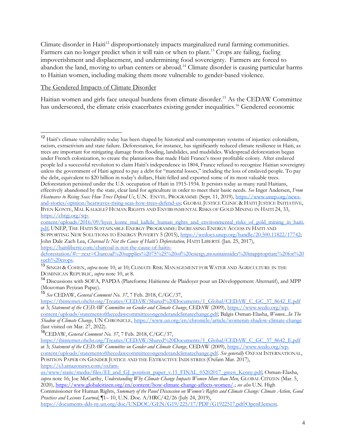Climate disorder in Haiti<sup>12</sup> disproportionately impacts marginalized rural farming communities. Farmers can no longer predict when it will rain or when to plant.<sup>13</sup> Crops are failing, fueling impoverishment and displacement, and undermining food sovereignty. Farmers are forced to abandon the land, moving to urban centers or abroad.<sup>14</sup> Climate disorder is causing particular harms to Haitian women, including making them more vulnerable to gender-based violence.

#### The Gendered Impacts of Climate Disorder

Haitian women and girls face unequal burdens from climate disorder.<sup>15</sup> As the CEDAW Committee has underscored, the climate crisis exacerbates existing gender inequalities.<sup>16</sup> Gendered economic

content/uploads/2016/09/byen\_konte\_mal\_kalkile\_human\_rights\_and\_environmental\_risks\_of\_gold\_mining\_in\_haiti. pdf; UNEP, THE HAITI SUSTAINABLE ENERGY PROGRAMME: INCREASING ENERGY ACCESS IN HAITI AND

SUPPORTING NEW SOLUTIONS TO ENERGY POVERTY 5 (2015), https://wedocs.unep.org/handle/20.500.11822/17742; John Dale Zach Lea, *Charcoal Is Not the Cause of Haiti's Deforestation*, HAITI LIBERTÉ (Jan. 25, 2017),

https://haitiliberte.com/charcoal-is-not-the-cause-of-haitis-

<sup>15</sup> *See* CEDAW, *General Comment No. 37*, 7 Feb. 2018, C/GC/37,

<sup>16</sup>CEDAW, *General Comment No. 37*, 7 Feb. 2018, C/GC/37,

<sup>12</sup> Haiti's climate vulnerability today has been shaped by historical and contemporary systems of injustice: colonialism, racism, extractivism and state failure. Deforestation, for instance, has significantly reduced climate resilience in Haiti, as trees are important for mitigating damage from flooding, landslides, and mudslides. Widespread deforestation began under French colonization, to create the plantations that made Haiti France's most profitable colony. After enslaved people led a successful revolution to claim Haiti's independence in 1804, France refused to recognize Haitian sovereignty unless the government of Haiti agreed to pay a debt for "material losses," including the loss of enslaved people. To pay the debt, equivalent to \$20 billion in today's dollars, Haiti felled and exported some of its most valuable trees. Deforestation persisted under the U.S. occupation of Haiti in 1915-1934. It persists today as many rural Haitians, effectively abandoned by the state, clear land for agriculture in order to meet their basic needs. *See* Inger Andersen, *From Heatwaves to Rising Seas: How Trees Defend Us*, U.N. ENVTL. PROGRAMME (Sept. 11, 2019), https://www.unep.org/newsand-stories/opinion/heatwaves-rising-seas-how-trees-defend-us; GLOBAL JUSTICE CLINIC & HAITI JUSTICE INITIATIVE, BYEN KONTE, MAL KALKILE? HUMAN RIGHTS AND ENVIRONMENTAL RISKS OF GOLD MINING IN HAITI 24, 33, https://chrgj.org/wp-

deforestation/#:~:text=Charcoal%20supplies%2075%25%20of%20energy,mountainsides%20inappropriate%20for%20 such%20crops.

<sup>13</sup> SINGH & COHEN, *supra* note 10, at 10; CLIMATE RISK MANAGEMENT FOR WATER AND AGRICULTURE IN THE DOMINICAN REPUBLIC, *supra* note 10, at 8.

<sup>14</sup> Discussions with SOFA, PAPDA (Plateforme Haïtienne de Plaidoyer pour un Développement Alternatif), and MPP (Mouvman Peyizan Papay).

https://tbinternet.ohchr.org/Treaties/CEDAW/Shared%20Documents/1\_Global/CEDAW\_C\_GC\_37\_8642\_E.pdf at 3; *Statement of the CEDAW Committee on Gender and Climate Change*, CEDAW (2009), https://www.wedo.org/wpcontent/uploads/statementofthecedawcommitteeongenderandclimatechange.pdf; Balgis Osman-Elasha, *Women...In The Shadow of Climate Change*, UN CHRONICLE, https://www.un.org/en/chronicle/article/womenin-shadow-climate-change (last visited on Mar. 27, 2022).

https://tbinternet.ohchr.org/Treaties/CEDAW/Shared%20Documents/1\_Global/CEDAW\_C\_GC\_37\_8642\_E.pdf at 3; *Statement of the CEDAW Committee on Gender and Climate Change*, CEDAW (2009), https://www.wedo.org/wpcontent/uploads/statementofthecedawcommitteeongenderandclimatechange.pdf*. See generally* OXFAM INTERNATIONAL,

POSITION PAPER ON GENDER JUSTICE AND THE EXTRACTIVE INDUSTRIES (Oxfam Mar. 2017), https://s3.amazonaws.com/oxfam-

us/www/static/media/files/EI\_and\_GJ\_position\_paper\_v.15\_FINAL\_03202017\_green\_Kenny.pdf; Osman-Elasha, *supra* note 16; Joe McCarthy, *Understanding Why Climate Change Impacts Women More than Men,* GLOBAL CITIZEN (Mar. 5, 2020), https://www.globalcitizen.org/en/content/how-climate-change-affects-women/.; *see also* U.N. High

Commissioner for Human Rights, *Summary of the Panel Discussion on Women's Rights and Climate Change: Climate Action, Good Practices and Lessons Learned*, ¶1– 10, U.N. Doc. A/HRC/42/26 (July 24, 2019),

https://documents-dds-ny.un.org/doc/UNDOC/GEN/G19/225/17/PDF/G1922517.pdf?OpenElement.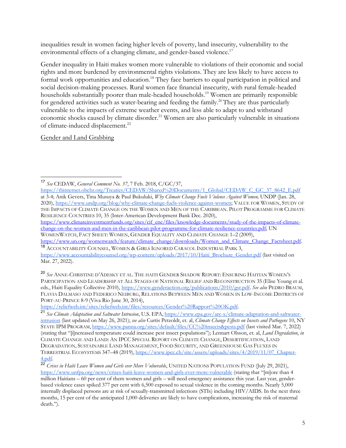inequalities result in women facing higher levels of poverty, land insecurity, vulnerability to the environmental effects of a changing climate, and gender-based violence.<sup>17</sup>

Gender inequality in Haiti makes women more vulnerable to violations of their economic and social rights and more burdened by environmental rights violations. They are less likely to have access to formal work opportunities and education.<sup>18</sup> They face barriers to equal participation in political and social decision-making processes. Rural women face financial insecurity, with rural female-headed households substantially poorer than male-headed households.<sup>19</sup> Women are primarily responsible for gendered activities such as water-bearing and feeding the family.<sup>20</sup> They are thus particularly vulnerable to the impacts of extreme weather events, and less able to adapt to and withstand economic shocks caused by climate disorder.<sup>21</sup> Women are also particularly vulnerable in situations of climate-induced displacement.<sup>22</sup>

Gender and Land Grabbing

https://www.climateinvestmentfunds.org/sites/cif\_enc/files/knowledge-documents/study-of-the-impacts-of-climatechange-on-the-women-and-men-in-the-caribbean-pilot-programme-for-climate-resilience-countries.pdf; UN WOMENWATCH, FACT SHEET: WOMEN, GENDER EQUALITY AND CLIMATE CHANGE 1–2 (2009),

https://reliefweb.int/sites/reliefweb.int/files/resources/Gender%20Rapport%20OK.pdf.

<sup>17</sup> *See* CEDAW, *General Comment No. 37*, 7 Feb. 2018, C/GC/37,

https://tbinternet.ohchr.org/Treaties/CEDAW/Shared%20Documents/1\_Global/CEDAW\_C\_GC\_37\_8642\_E.pdf at 3-4; Anik Gevers, Tina Musuya & Paul Bukuluki, *Why Climate Change Fuels Violence Against Women,* UNDP (Jan. 28, 2020), https://www.undp.org/blog/why-climate-change-fuels-violence-against-women; VALUE FOR WOMEN, STUDY OF THE IMPACTS OF CLIMATE CHANGE ON THE WOMEN AND MEN OF THE CARIBBEAN. PILOT PROGRAMME FOR CLIMATE RESILIENCE COUNTRIES 10, 35 (Inter-American Development Bank Dec. 2020),

https://www.un.org/womenwatch/feature/climate\_change/downloads/Women\_and\_Climate\_Change\_Factsheet.pdf. 18 ACCOUNTABILITY COUNSEL, WOMEN & GIRLS IGNORED CARACOL INDUSTRIAL PARK 3,

https://www.accountabilitycounsel.org/wp-content/uploads/2017/10/Haiti\_Brochure\_Gender.pdf (last visited on Mar. 27, 2022).

<sup>20</sup> *See* ANNE-CHRISTINE D'ADESKY ET AL. THE HAITI GENDER SHADOW REPORT: ENSURING HAITIAN WOMEN'S PARTICIPATION AND LEADERSHIP AT ALL STAGES OF NATIONAL RELIEF AND RECONSTRUCTION 35 (Elise Young et al. eds., Haiti Equality Collective 2010), https://www.genderaction.org/publications/2010/gsr.pdf. *See also* PEDRO BRAUM, FLAVIA DALMASO AND FEDERICO NEIBURG, RELATIONS BETWEEN MEN AND WOMEN IN LOW-INCOME DISTRICTS OF PORT-AU-PRINCE 8-9 (Viva Rio June 30, 2014),

<sup>21</sup> *See Climate Adaptation and Saltwater Intrusion*, U.S. EPA, https://www.epa.gov/arc-x/climate-adaptation-and-saltwaterintrusion (last updated on May 26, 2021); *see also* Curtis Petzoldt, et. al, *Climate Change Effects on Insects and Pathogens* 10, NY STATE IPM PROGRAM, https://www.panna.org/sites/default/files/CC%20insects&pests.pdf (last visited Mar. 7, 2022) (stating that "[i]ncreased temperature could increase pest insect populations"); Lennart Olsson, et. al, *Land Degradation*, *in*  CLIMATE CHANGE AND LAND: AN IPCC SPECIAL REPORT ON CLIMATE CHANGE, DESERTIFICATION, LAND DEGRADATION, SUSTAINABLE LAND MANAGEMENT, FOOD SECURITY, AND GREENHOUSE GAS FLUXES IN TERRESTRIAL ECOSYSTEMS 347–48 (2019), https://www.ipcc.ch/site/assets/uploads/sites/4/2019/11/07\_Chapter-4.pdf.

<sup>22</sup> *Crises in Haiti Leave Women and Girls ever More Vulnerable*, UNITED NATIONS POPULATION FUND (July 29, 2021), https://www.unfpa.org/news/crises-haiti-leave-women-and-girls-ever-more-vulnerable (stating that "[m]ore than 4 million Haitians – 60 per cent of them women and girls – will need emergency assistance this year. Last year, genderbased violence cases spiked 377 per cent with 6,500 exposed to sexual violence in the coming months. Nearly 5,000 internally displaced persons are at risk of sexually-transmitted infections (STIs) including HIV/AIDS. In the next three months, 15 per cent of the anticipated 1,000 deliveries are likely to have complications, increasing the risk of maternal death.").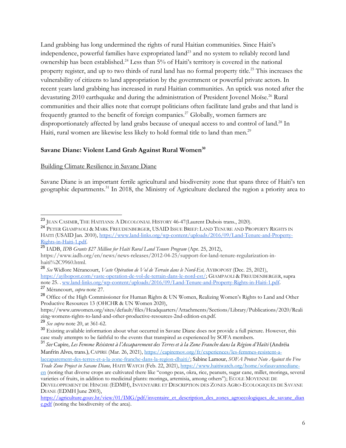Land grabbing has long undermined the rights of rural Haitian communities. Since Haiti's independence, powerful families have expropriated land<sup>23</sup> and no system to reliably record land ownership has been established.<sup>24</sup> Less than 5% of Haiti's territory is covered in the national property register, and up to two thirds of rural land has no formal property title.<sup>25</sup> This increases the vulnerability of citizens to land appropriation by the government or powerful private actors. In recent years land grabbing has increased in rural Haitian communities. An uptick was noted after the devastating 2010 earthquake and during the administration of President Jovenel Moïse.<sup>26</sup> Rural communities and their allies note that corrupt politicians often facilitate land grabs and that land is frequently granted to the benefit of foreign companies.<sup>27</sup> Globally, women farmers are disproportionately affected by land grabs because of unequal access to and control of land.<sup>28</sup> In Haiti, rural women are likewise less likely to hold formal title to land than men.<sup>29</sup>

#### Savane Diane: Violent Land Grab Against Rural Women<sup>30</sup>

#### Building Climate Resilience in Savane Diane

Savane Diane is an important fertile agricultural and biodiversity zone that spans three of Haiti's ten geographic departments.<sup>31</sup> In 2018, the Ministry of Agriculture declared the region a priority area to

https://www.unwomen.org/sites/default/files/Headquarters/Attachments/Sections/Library/Publications/2020/Reali zing-womens-rights-to-land-and-other-productive-resources-2nd-edition-en.pdf.

<sup>29</sup> *See supra* note 20, at 361-62.

<sup>&</sup>lt;sup>23</sup> JEAN CASIMIR, THE HAITIANS: A DECOLONIAL HISTORY 46-47 (Laurent Dubois trans., 2020).

<sup>&</sup>lt;sup>24</sup> PETER GIAMPAOLI & MARK FREUDENBERGER, USAID ISSUE BRIEF: LAND TENURE AND PROPERTY RIGHTS IN HAITI (USAID Jan. 2010), https://www.land-links.org/wp-content/uploads/2016/09/Land-Tenure-and-Property-Rights-in-Haiti-1.pdf.

<sup>25</sup> IADB, *IDB Grants \$27 Million for Haiti Rural Land Tenure Program* (Apr. 25, 2012),

https://www.iadb.org/en/news/news-releases/2012-04-25/support-for-land-tenure-regularization-inhaiti%2C9960.html.

<sup>26</sup> *See* Widlore Mérancourt, *Vaste Opération de Vol de Terrain dans le Nord-Est,* AYIBOPOST (Dec. 25, 2021), https://ayibopost.com/vaste-operation-de-vol-de-terrain-dans-le-nord-est/; GIAMPAOLI & FREUDENBERGER, supra note 25. . ww.land-links.org/wp-content/uploads/2016/09/Land-Tenure-and-Property-Rights-in-Haiti-1.pdf. <sup>27</sup> Mérancourt, *supra* note 27.

<sup>&</sup>lt;sup>28</sup> Office of the High Commissioner for Human Rights & UN Women, Realizing Women's Rights to Land and Other Productive Resources 13 (OHCHR & UN Women 2020),

<sup>&</sup>lt;sup>30</sup> Existing available information about what occurred in Savane Diane does not provide a full picture. However, this case study attempts to be faithful to the events that transpired as experienced by SOFA members.

<sup>31</sup> *See* Capire, *Les Femme Résistent à l'Accaparement des Terres et à la Zone Franche dans la Région d'Haïti* (Andréia Manfrin Alves, trans.), CAPIRE (Mar. 26, 2021), https://capiremov.org/fr/experiences/les-femmes-resistent-a-

laccaparement-des-terres-et-a-la-zone-franche-dans-la-region-dhaiti/; Sabine Lamour, *SOFA Protest Note Against the Free Trade Zone Project in Savane Diane,* HAITI WATCH (Feb. 22, 2021), https://www.haitiwatch.org/home/sofasavannediane-

en (noting that diverse crops are cultivated there like "congo peas, okra, rice, peanuts, sugar cane, millet, moringa, several varieties of fruits, in addition to medicinal plants: moringa, artemisia, among others"); ECOLE MOYENNE DE DEVELOPPEMENT DE HINCHE (EDMH), INVENTAIRE ET DESCRIPTION DES ZONES AGRO-ECOLOGIQUES DE SAVANE DIANE (EDMH June 2003),

https://agriculture.gouv.ht/view/01/IMG/pdf/inventaire\_et\_description\_des\_zones\_agroecologiques\_de\_savane\_dian e.pdf (noting the biodiversity of the area).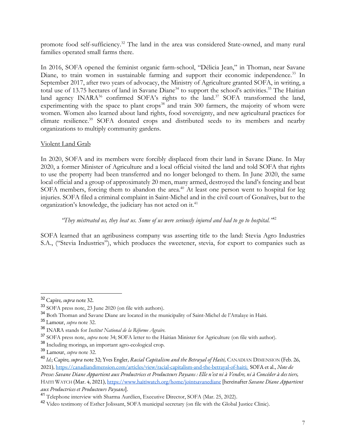promote food self-sufficiency.<sup>32</sup> The land in the area was considered State-owned, and many rural families operated small farms there.

In 2016, SOFA opened the feminist organic farm-school, "Délicia Jean," in Thoman, near Savane Diane, to train women in sustainable farming and support their economic independence.<sup>33</sup> In September 2017, after two years of advocacy, the Ministry of Agriculture granted SOFA, in writing, a total use of 13.75 hectares of land in Savane Diane<sup>34</sup> to support the school's activities.<sup>35</sup> The Haitian land agency INARA<sup>36</sup> confirmed SOFA's rights to the land.<sup>37</sup> SOFA transformed the land, experimenting with the space to plant crops<sup>38</sup> and train  $300$  farmers, the majority of whom were women. Women also learned about land rights, food sovereignty, and new agricultural practices for climate resilience.<sup>39</sup> SOFA donated crops and distributed seeds to its members and nearby organizations to multiply community gardens.

#### Violent Land Grab

In 2020, SOFA and its members were forcibly displaced from their land in Savane Diane. In May 2020, a former Minister of Agriculture and a local official visited the land and told SOFA that rights to use the property had been transferred and no longer belonged to them. In June 2020, the same local official and a group of approximately 20 men, many armed, destroyed the land's fencing and beat SOFA members, forcing them to abandon the area.<sup>40</sup> At least one person went to hospital for leg injuries. SOFA filed a criminal complaint in Saint-Michel and in the civil court of Gonaïves, but to the organization's knowledge, the judiciary has not acted on it.<sup>41</sup>

#### *"They mistreated us, they beat us. Some of us were seriously injured and had to go to hospital."*<sup>42</sup>

SOFA learned that an agribusiness company was asserting title to the land: Stevia Agro Industries S.A., ("Stevia Industries"), which produces the sweetener, stevia, for export to companies such as

<sup>32</sup> Capire*, supra* note 32.

<sup>33</sup> SOFA press note, 23 June 2020 (on file with authors).

<sup>34</sup> Both Thoman and Savane Diane are located in the municipality of Saint-Michel de l'Attalaye in Haiti.

<sup>35</sup> Lamour, *supra* note 32.

<sup>36</sup> INARA stands for *Institut National de la Réforme Agraire.*

<sup>37</sup> SOFA press note, *supra* note 34; SOFA letter to the Haitian Minister for Agriculture (on file with author).

<sup>38</sup> Including moringa, an important agro-ecological crop.

<sup>39</sup> Lamour, *supra* note 32.

<sup>40</sup> *Id.*; Capire*, supra* note 32; Yves Engler, *Racial Capitalism and the Betrayal of Haiti,* CANADIAN DIMENSION (Feb. 26, 2021), https://canadiandimension.com/articles/view/racial-capitalism-and-the-betrayal-of-haiti; SOFA et al., *Note de Presse: Savane Diane Appartient aux Productrices et Producteurs Paysans : Elle n'est ni à Vendre, ni à Concéder à des tiers,*  HAITI WATCH (Mar. 4, 2021), https://www.haitiwatch.org/home/jointsavanediane [hereinafter *Savane Diane Appartient aux Productrices et Producteurs Paysans*].

<sup>41</sup> Telephone interview with Sharma Aurélien, Executive Director, SOFA (Mar. 25, 2022).

<sup>42</sup> Video testimony of Esther Jolissant, SOFA municipal secretary (on file with the Global Justice Clinic).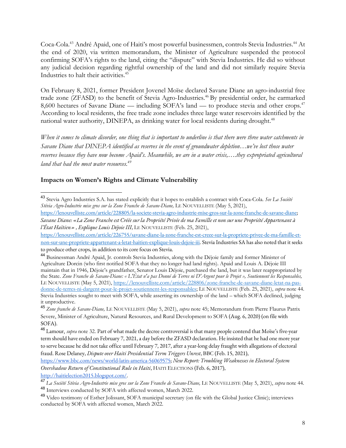Coca-Cola.<sup>43</sup> André Apaid, one of Haiti's most powerful businessmen, controls Stevia Industries.<sup>44</sup> At the end of 2020, via written memorandum, the Minister of Agriculture suspended the protocol confirming SOFA's rights to the land, citing the "dispute" with Stevia Industries. He did so without any judicial decision regarding rightful ownership of the land and did not similarly require Stevia Industries to halt their activities.<sup>45</sup>

On February 8, 2021, former President Jovenel Moïse declared Savane Diane an agro-industrial free trade zone (ZFASD) to the benefit of Stevia Agro-Industries.<sup>46</sup> By presidential order, he earmarked 8,600 hectares of Savane Diane — including SOFA's land — to produce stevia and other crops.<sup>47</sup> According to local residents, the free trade zone includes three large water reservoirs identified by the national water authority, DINEPA, as drinking water for local residents during drought.<sup>48</sup>

*When it comes to climate disorder, one thing that is important to underline is that there were three water catchments in Savane Diane that DINEPA identified as reserves in the event of groundwater depletion…we've lost those water reserves because they have now become Apaid's. Meanwhile, we are in a water crisis,….they expropriated agricultural land that had the most water resources.49*

#### **Impacts on Women's Rights and Climate Vulnerability**

http://haitielection2015.blogspot.com/.

<sup>43</sup> Stevia Agro Industries S.A. has stated explicitly that it hopes to establish a contract with Coca-Cola. *See La Société Stévia Agro-Industrie mise gros sur la Zone Franche de Savane-Diane,* LE NOUVELLISTE (May 5, 2021),

https://lenouvelliste.com/article/228805/la-societe-stevia-agro-industrie-mise-gros-sur-la-zone-franche-de-savane-diane; *Savane Diane: «La Zone Franche est Créée sur la Propriété Privée de ma Famille et non sur une Propriété Appartenant à l'État Haïtien» , Explique Louis Déjoie III*, LE NOUVELLISTE (Feb. 25, 2021),

https://lenouvelliste.com/article/226755/savane-diane-la-zone-franche-est-creee-sur-la-propriete-privee-de-ma-famille-etnon-sur-une-propriete-appartenant-a-letat-haitien-explique-louis-dejoie-iii. Stevia Industries SA has also noted that it seeks to produce other crops, in addition to its core focus on Stevia.

<sup>44</sup> Businessman André Apaid, Jr. controls Stevia Industries, along with the Déjoie family and former Minister of Agriculture Dorcin (who first notified SOFA that they no longer had land rights). Apaid and Louis A. Déjoie III maintain that in 1946, Déjoie's grandfather, Senator Louis Déjoie, purchased the land, but it was later reappropriated by the State. *Zone Franche de Savane-Diane: « L'État n'a pas Donné de Terres ni D'Argent pour le Projet », Soutiennent les Responsables,*  LE NOUVELLISTE (May 5, 2021), https://lenouvelliste.com/article/228806/zone-franche-de-savane-diane-letat-na-pasdonne-de-terres-ni-dargent-pour-le-projet-soutiennent-les-responsables; LE NOUVELLISTE (Feb. 25, 2021), *supra* note 44. Stevia Industries sought to meet with SOFA, while asserting its ownership of the land – which SOFA declined, judging it unproductive.

<sup>45</sup> *Zone franche de Savane-Diane,* LE NOUVELLISTE (May 5, 2021), *supra* note 45; Memorandum from Pierre Flaurus Patrix Severe, Minister of Agriculture, Natural Resources, and Rural Development to SOFA (Aug. 6, 2020) (on file with SOFA).

<sup>46</sup> Lamour, *supra* note 32. Part of what made the decree controversial is that many people contend that Moïse's five-year term should have ended on February 7, 2021, a day before the ZFASD declaration. He insisted that he had one more year to serve because he did not take office until February 7, 2017, after a year-long delay fraught with allegations of electoral fraud. Rose Delaney, *Dispute over Haiti Presidential Term Triggers Unrest*, BBC (Feb. 15, 2021),

https://www.bbc.com/news/world-latin-america-56069575; *New Report: Troubling Weaknesses in Electoral System Overshadow Return of Constitutional Rule in Haiti*, HAITI ELECTIONS (Feb. 6, 2017),

<sup>47</sup> *La Société Stévia Agro-Industrie mise gros sur la Zone Franche de Savane-Diane,* LE NOUVELLISTE (May 5, 2021), *supra* note 44. <sup>48</sup> Interviews conducted by SOFA with affected women, March 2022.

<sup>49</sup> Video testimony of Esther Jolissant, SOFA municipal secretary (on file with the Global Justice Clinic); interviews conducted by SOFA with affected women, March 2022.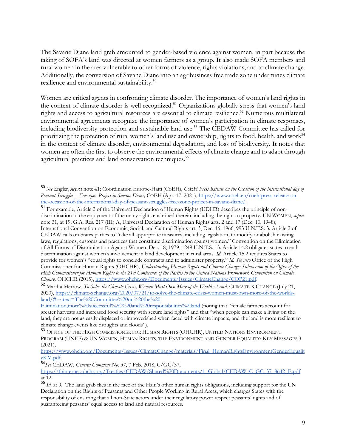The Savane Diane land grab amounted to gender-based violence against women, in part because the taking of SOFA's land was directed at women farmers as a group. It also made SOFA members and rural women in the area vulnerable to other forms of violence, rights violations, and to climate change. Additionally, the conversion of Savane Diane into an agribusiness free trade zone undermines climate resilience and environmental sustainability.50

Women are critical agents in confronting climate disorder. The importance of women's land rights in the context of climate disorder is well recognized.<sup>51</sup> Organizations globally stress that women's land rights and access to agricultural resources are essential to climate resilience.<sup>52</sup> Numerous multilateral environmental agreements recognize the importance of women's participation in climate responses, including biodiversity-protection and sustainable land use.53 The CEDAW Committee has called for prioritizing the protection of rural women's land use and ownership, rights to food, health, and work<sup>54</sup> in the context of climate disorder, environmental degradation, and loss of biodiversity. It notes that women are often the first to observe the environmental effects of climate change and to adapt through agricultural practices and land conservation techniques.<sup>55</sup>

<sup>51</sup> For example, Article 2 of the Universal Declaration of Human Rights (UDHR) describes the principle of nondiscrimination in the enjoyment of the many rights enshrined therein, including the right to property. UN WOMEN, *supra*  note 31, at 19; G.A. Res. 217 (III) A, Universal Declaration of Human Rights arts. 2 and 17 (Dec. 10, 1948); International Convention on Economic, Social, and Cultural Rights art. 3, Dec. 16, 1966, 993 U.N.T.S. 3. Article 2 of CEDAW calls on States parties to "take all appropriate measures, including legislation, to modify or abolish existing laws, regulations, customs and practices that constitute discrimination against women." Convention on the Elimination of All Forms of Discrimination Against Women, Dec. 18, 1979, 1249 U.N.T.S. 13. Article 14.2 obligates states to end discrimination against women's involvement in land development in rural areas. *Id.* Article 15.2 requires States to provide for women's "equal rights to conclude contracts and to administer property." *Id. See also* Office of the High Commissioner for Human Rights (OHCHR), *Understanding Human Rights and Climate Change: Submission of the Office of the High Commissioner for Human Rights to the 21st Conference of the Parties to the United Nations Framework Convention on Climate Change,* OHCHR (2015), https://www.ohchr.org/Documents/Issues/ClimateChange/COP21.pdf.

<sup>54</sup>*See* CEDAW, *General Comment No. 37*, 7 Feb. 2018, C/GC/37,

<sup>50</sup> *See* Engler, *supra* note 41; Coordination Europe-Haiti (CoEH), *CoEH Press Release on the Cccasion of the International day of Peasant Struggles – Free zone Project in Savane Diane,* COEH (Apr. 17, 2021), https://www.coeh.eu/coeh-press-release-onthe-occasion-of-the-international-day-of-peasant-struggles-free-zone-project-in-savane-diane/.

<sup>52</sup> Martha Merrow, *To Solve the Climate Crisis, Women Must Own More of the World's Land,* CLIMATE X CHANGE (July 21, 2020), https://climate-xchange.org/2020/07/21/to-solve-the-climate-crisis-women-must-own-more-of-the-worldsland/#:~:text=The%20Committee%20on%20the%20

Elimination,more%20successful%2C%20and%20responsibilities%20and (noting that "female farmers account for greater harvests and increased food security with secure land rights" and that "when people can make a living on the land, they are not as easily displaced or impoverished when faced with climate impacts, and the land is more resilient to climate change events like droughts and floods").

<sup>53</sup> OFFICE OF THE HIGH COMMISSIONER FOR HUMAN RIGHTS (OHCHR), UNITED NATIONS ENVIRONMENT PROGRAM (UNEP) & UN WOMEN, HUMAN RIGHTS, THE ENVIRONMENT AND GENDER EQUALITY: KEY MESSAGES 3 (2021),

https://www.ohchr.org/Documents/Issues/ClimateChange/materials/Final\_HumanRightsEnvironmentGenderEqualit yKM.pdf.

https://tbinternet.ohchr.org/Treaties/CEDAW/Shared%20Documents/1\_Global/CEDAW\_C\_GC\_37\_8642\_E.pdf at 12.

<sup>55</sup> *Id*. at 9. The land grab flies in the face of the Haiti's other human rights obligations, including support for the UN Declaration on the Rights of Peasants and Other People Working in Rural Areas, which charges States with the responsibility of ensuring that all non-State actors under their regulatory power respect peasants' rights and of guaranteeing peasants' equal access to land and natural resources.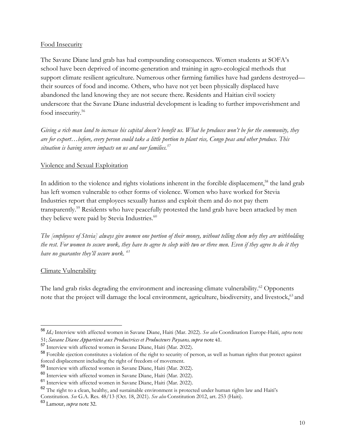#### Food Insecurity

The Savane Diane land grab has had compounding consequences. Women students at SOFA's school have been deprived of income-generation and training in agro-ecological methods that support climate resilient agriculture. Numerous other farming families have had gardens destroyed their sources of food and income. Others, who have not yet been physically displaced have abandoned the land knowing they are not secure there. Residents and Haitian civil society underscore that the Savane Diane industrial development is leading to further impoverishment and food insecurity.<sup>56</sup>

*Giving a rich man land to increase his capital doesn't benefit us. What he produces won't be for the community, they are for export…before, every person could take a little portion to plant rice, Congo peas and other produce. This situation is having severe impacts on us and our families.57*

#### Violence and Sexual Exploitation

In addition to the violence and rights violations inherent in the forcible displacement,<sup>58</sup> the land grab has left women vulnerable to other forms of violence. Women who have worked for Stevia Industries report that employees sexually harass and exploit them and do not pay them transparently.59 Residents who have peacefully protested the land grab have been attacked by men they believe were paid by Stevia Industries.<sup>60</sup>

*The [employees of Stevia] always give women one portion of their money, without telling them why they are withholding the rest. For women to secure work, they have to agree to sleep with two or three men. Even if they agree to do it they have no guarantee they'll secure work. 61*

#### Climate Vulnerability

The land grab risks degrading the environment and increasing climate vulnerability.<sup>62</sup> Opponents note that the project will damage the local environment, agriculture, biodiversity, and livestock,<sup>63</sup> and

<sup>56</sup> *Id.;* Interview with affected women in Savane Diane, Haiti (Mar. 2022). *See also* Coordination Europe-Haiti, *supra* note 51; *Savane Diane Appartient aux Productrices et Producteurs Paysans, supra* note 41.

<sup>57</sup> Interview with affected women in Savane Diane, Haiti (Mar. 2022).

<sup>58</sup> Forcible ejection constitutes a violation of the right to security of person, as well as human rights that protect against forced displacement including the right of freedom of movement.

<sup>59</sup> Interview with affected women in Savane Diane, Haiti (Mar. 2022).

<sup>60</sup> Interview with affected women in Savane Diane, Haiti (Mar. 2022).

<sup>61</sup> Interview with affected women in Savane Diane, Haiti (Mar. 2022).

<sup>62</sup> The right to a clean, healthy, and sustainable environment is protected under human rights law and Haiti's

Constitution. *See* G.A. Res. 48/13 (Oct. 18, 2021). *See also* Constitution 2012, art. 253 (Haiti).

<sup>63</sup> Lamour, *supra* note 32.